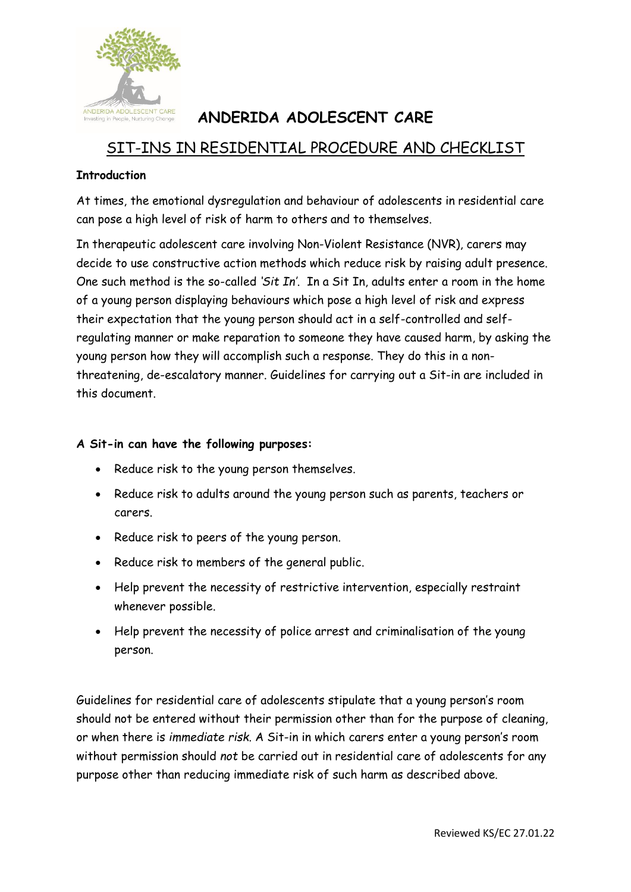

# **ANDERIDA ADOLESCENT CARE**

# SIT-INS IN RESIDENTIAL PROCEDURE AND CHECKLIST

#### **Introduction**

At times, the emotional dysregulation and behaviour of adolescents in residential care can pose a high level of risk of harm to others and to themselves.

In therapeutic adolescent care involving Non-Violent Resistance (NVR), carers may decide to use constructive action methods which reduce risk by raising adult presence. One such method is the so-called *'Sit In'*. In a Sit In, adults enter a room in the home of a young person displaying behaviours which pose a high level of risk and express their expectation that the young person should act in a self-controlled and selfregulating manner or make reparation to someone they have caused harm, by asking the young person how they will accomplish such a response. They do this in a nonthreatening, de-escalatory manner. Guidelines for carrying out a Sit-in are included in this document.

#### **A Sit-in can have the following purposes:**

- Reduce risk to the young person themselves.
- Reduce risk to adults around the young person such as parents, teachers or carers.
- Reduce risk to peers of the young person.
- Reduce risk to members of the general public.
- Help prevent the necessity of restrictive intervention, especially restraint whenever possible.
- Help prevent the necessity of police arrest and criminalisation of the young person.

Guidelines for residential care of adolescents stipulate that a young person's room should not be entered without their permission other than for the purpose of cleaning, or when there is *immediate risk*. A Sit-in in which carers enter a young person's room without permission should *not* be carried out in residential care of adolescents for any purpose other than reducing immediate risk of such harm as described above.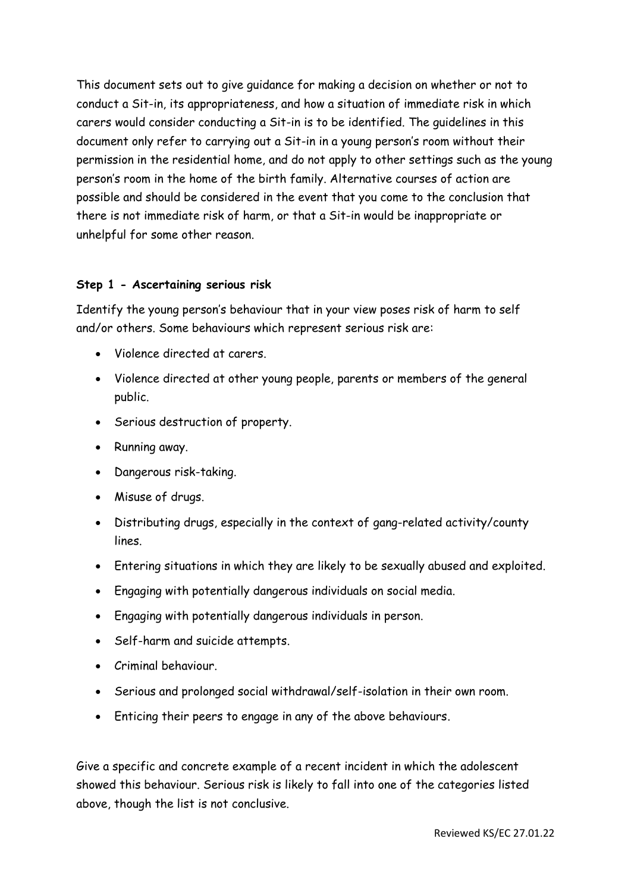This document sets out to give guidance for making a decision on whether or not to conduct a Sit-in, its appropriateness, and how a situation of immediate risk in which carers would consider conducting a Sit-in is to be identified. The guidelines in this document only refer to carrying out a Sit-in in a young person's room without their permission in the residential home, and do not apply to other settings such as the young person's room in the home of the birth family. Alternative courses of action are possible and should be considered in the event that you come to the conclusion that there is not immediate risk of harm, or that a Sit-in would be inappropriate or unhelpful for some other reason.

#### **Step 1 - Ascertaining serious risk**

Identify the young person's behaviour that in your view poses risk of harm to self and/or others. Some behaviours which represent serious risk are:

- Violence directed at carers.
- Violence directed at other young people, parents or members of the general public.
- Serious destruction of property.
- Running away.
- Dangerous risk-taking.
- Misuse of drugs.
- Distributing drugs, especially in the context of gang-related activity/county lines.
- Entering situations in which they are likely to be sexually abused and exploited.
- Engaging with potentially dangerous individuals on social media.
- Engaging with potentially dangerous individuals in person.
- Self-harm and suicide attempts.
- Criminal behaviour.
- Serious and prolonged social withdrawal/self-isolation in their own room.
- Enticing their peers to engage in any of the above behaviours.

Give a specific and concrete example of a recent incident in which the adolescent showed this behaviour. Serious risk is likely to fall into one of the categories listed above, though the list is not conclusive.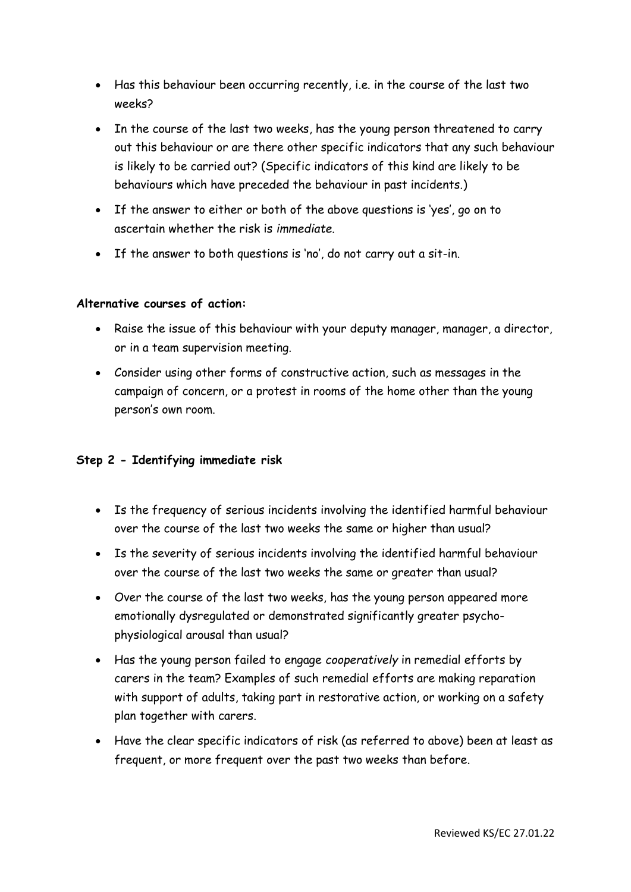- Has this behaviour been occurring recently, i.e. in the course of the last two weeks?
- In the course of the last two weeks, has the young person threatened to carry out this behaviour or are there other specific indicators that any such behaviour is likely to be carried out? (Specific indicators of this kind are likely to be behaviours which have preceded the behaviour in past incidents.)
- If the answer to either or both of the above questions is 'yes', go on to ascertain whether the risk is *immediate*.
- If the answer to both questions is 'no', do not carry out a sit-in.

#### **Alternative courses of action:**

- Raise the issue of this behaviour with your deputy manager, manager, a director, or in a team supervision meeting.
- Consider using other forms of constructive action, such as messages in the campaign of concern, or a protest in rooms of the home other than the young person's own room.

### **Step 2 - Identifying immediate risk**

- Is the frequency of serious incidents involving the identified harmful behaviour over the course of the last two weeks the same or higher than usual?
- Is the severity of serious incidents involving the identified harmful behaviour over the course of the last two weeks the same or greater than usual?
- Over the course of the last two weeks, has the young person appeared more emotionally dysregulated or demonstrated significantly greater psychophysiological arousal than usual?
- Has the young person failed to engage *cooperatively* in remedial efforts by carers in the team? Examples of such remedial efforts are making reparation with support of adults, taking part in restorative action, or working on a safety plan together with carers.
- Have the clear specific indicators of risk (as referred to above) been at least as frequent, or more frequent over the past two weeks than before.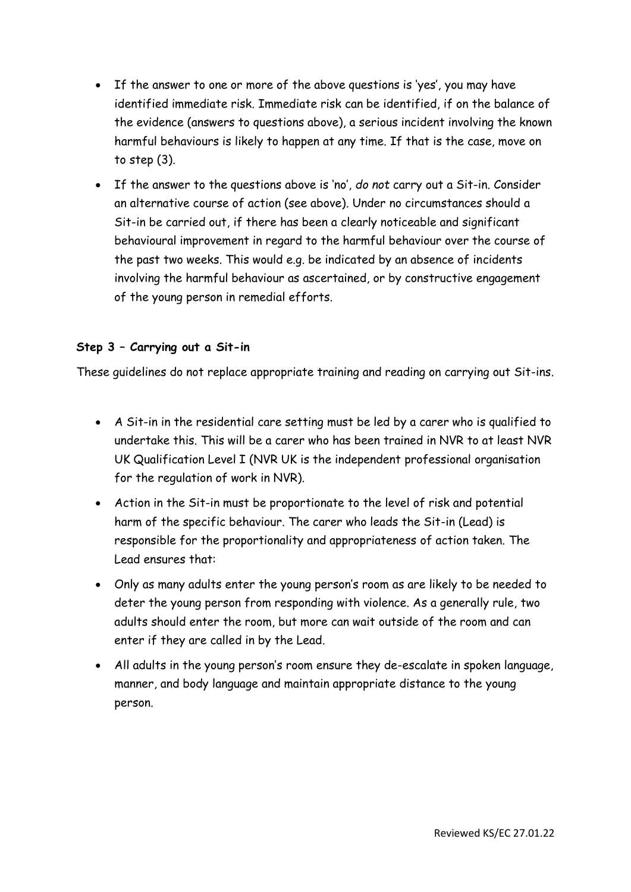- If the answer to one or more of the above questions is 'yes', you may have identified immediate risk. Immediate risk can be identified, if on the balance of the evidence (answers to questions above), a serious incident involving the known harmful behaviours is likely to happen at any time. If that is the case, move on to step (3).
- If the answer to the questions above is 'no', *do not* carry out a Sit-in. Consider an alternative course of action (see above). Under no circumstances should a Sit-in be carried out, if there has been a clearly noticeable and significant behavioural improvement in regard to the harmful behaviour over the course of the past two weeks. This would e.g. be indicated by an absence of incidents involving the harmful behaviour as ascertained, or by constructive engagement of the young person in remedial efforts.

#### **Step 3 – Carrying out a Sit-in**

These guidelines do not replace appropriate training and reading on carrying out Sit-ins.

- A Sit-in in the residential care setting must be led by a carer who is qualified to undertake this. This will be a carer who has been trained in NVR to at least NVR UK Qualification Level I (NVR UK is the independent professional organisation for the regulation of work in NVR).
- Action in the Sit-in must be proportionate to the level of risk and potential harm of the specific behaviour. The carer who leads the Sit-in (Lead) is responsible for the proportionality and appropriateness of action taken. The Lead ensures that:
- Only as many adults enter the young person's room as are likely to be needed to deter the young person from responding with violence. As a generally rule, two adults should enter the room, but more can wait outside of the room and can enter if they are called in by the Lead.
- All adults in the young person's room ensure they de-escalate in spoken language, manner, and body language and maintain appropriate distance to the young person.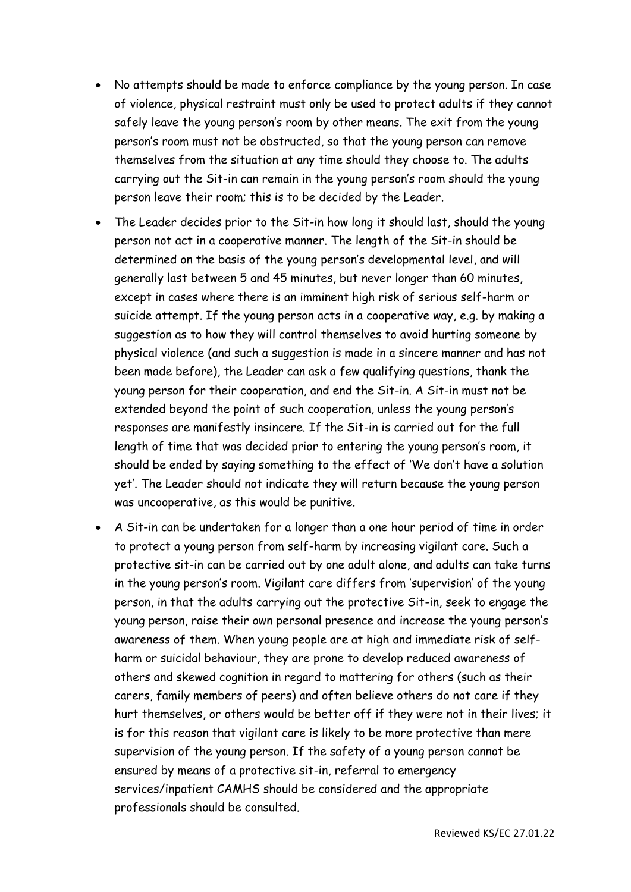- No attempts should be made to enforce compliance by the young person. In case of violence, physical restraint must only be used to protect adults if they cannot safely leave the young person's room by other means. The exit from the young person's room must not be obstructed, so that the young person can remove themselves from the situation at any time should they choose to. The adults carrying out the Sit-in can remain in the young person's room should the young person leave their room; this is to be decided by the Leader.
- The Leader decides prior to the Sit-in how long it should last, should the young person not act in a cooperative manner. The length of the Sit-in should be determined on the basis of the young person's developmental level, and will generally last between 5 and 45 minutes, but never longer than 60 minutes, except in cases where there is an imminent high risk of serious self-harm or suicide attempt. If the young person acts in a cooperative way, e.g. by making a suggestion as to how they will control themselves to avoid hurting someone by physical violence (and such a suggestion is made in a sincere manner and has not been made before), the Leader can ask a few qualifying questions, thank the young person for their cooperation, and end the Sit-in. A Sit-in must not be extended beyond the point of such cooperation, unless the young person's responses are manifestly insincere. If the Sit-in is carried out for the full length of time that was decided prior to entering the young person's room, it should be ended by saying something to the effect of 'We don't have a solution yet'. The Leader should not indicate they will return because the young person was uncooperative, as this would be punitive.
- A Sit-in can be undertaken for a longer than a one hour period of time in order to protect a young person from self-harm by increasing vigilant care. Such a protective sit-in can be carried out by one adult alone, and adults can take turns in the young person's room. Vigilant care differs from 'supervision' of the young person, in that the adults carrying out the protective Sit-in, seek to engage the young person, raise their own personal presence and increase the young person's awareness of them. When young people are at high and immediate risk of selfharm or suicidal behaviour, they are prone to develop reduced awareness of others and skewed cognition in regard to mattering for others (such as their carers, family members of peers) and often believe others do not care if they hurt themselves, or others would be better off if they were not in their lives; it is for this reason that vigilant care is likely to be more protective than mere supervision of the young person. If the safety of a young person cannot be ensured by means of a protective sit-in, referral to emergency services/inpatient CAMHS should be considered and the appropriate professionals should be consulted.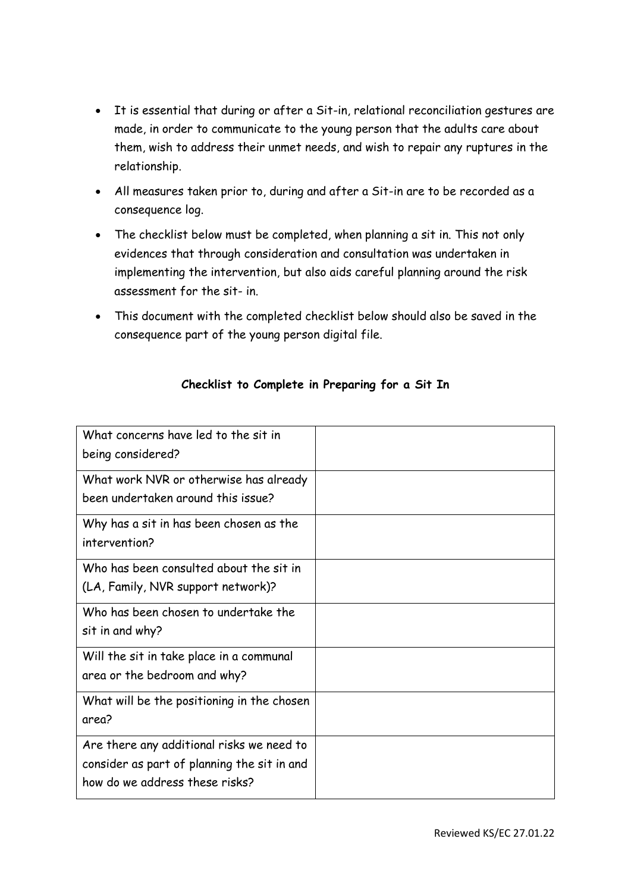- It is essential that during or after a Sit-in, relational reconciliation gestures are made, in order to communicate to the young person that the adults care about them, wish to address their unmet needs, and wish to repair any ruptures in the relationship.
- All measures taken prior to, during and after a Sit-in are to be recorded as a consequence log.
- The checklist below must be completed, when planning a sit in. This not only evidences that through consideration and consultation was undertaken in implementing the intervention, but also aids careful planning around the risk assessment for the sit- in.
- This document with the completed checklist below should also be saved in the consequence part of the young person digital file.

| What concerns have led to the sit in<br>being considered?                                                                  |  |
|----------------------------------------------------------------------------------------------------------------------------|--|
| What work NVR or otherwise has already<br>been undertaken around this issue?                                               |  |
| Why has a sit in has been chosen as the<br>intervention?                                                                   |  |
| Who has been consulted about the sit in<br>(LA, Family, NVR support network)?                                              |  |
| Who has been chosen to undertake the<br>sit in and why?                                                                    |  |
| Will the sit in take place in a communal<br>area or the bedroom and why?                                                   |  |
| What will be the positioning in the chosen<br>area?                                                                        |  |
| Are there any additional risks we need to<br>consider as part of planning the sit in and<br>how do we address these risks? |  |

## **Checklist to Complete in Preparing for a Sit In**